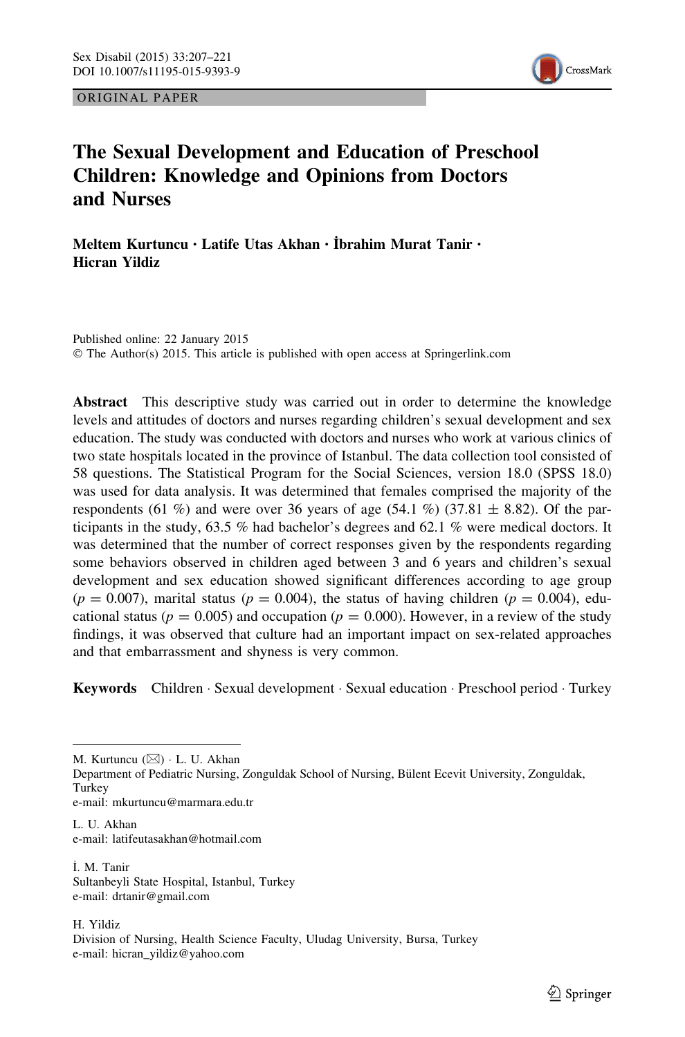ORIGINAL PAPER



# The Sexual Development and Education of Preschool Children: Knowledge and Opinions from Doctors and Nurses

Meltem Kurtuncu • Latife Utas Akhan • İbrahim Murat Tanir • Hicran Yildiz

Published online: 22 January 2015 © The Author(s) 2015. This article is published with open access at Springerlink.com

Abstract This descriptive study was carried out in order to determine the knowledge levels and attitudes of doctors and nurses regarding children's sexual development and sex education. The study was conducted with doctors and nurses who work at various clinics of two state hospitals located in the province of Istanbul. The data collection tool consisted of 58 questions. The Statistical Program for the Social Sciences, version 18.0 (SPSS 18.0) was used for data analysis. It was determined that females comprised the majority of the respondents (61 %) and were over 36 years of age (54.1 %) (37.81  $\pm$  8.82). Of the participants in the study, 63.5 % had bachelor's degrees and 62.1 % were medical doctors. It was determined that the number of correct responses given by the respondents regarding some behaviors observed in children aged between 3 and 6 years and children's sexual development and sex education showed significant differences according to age group  $(p = 0.007)$ , marital status  $(p = 0.004)$ , the status of having children  $(p = 0.004)$ , educational status ( $p = 0.005$ ) and occupation ( $p = 0.000$ ). However, in a review of the study findings, it was observed that culture had an important impact on sex-related approaches and that embarrassment and shyness is very common.

Keywords Children · Sexual development · Sexual education · Preschool period · Turkey

M. Kurtuncu (⊠) · L. U. Akhan

Department of Pediatric Nursing, Zonguldak School of Nursing, Bülent Ecevit University, Zonguldak, Turkey e-mail: mkurtuncu@marmara.edu.tr

L. II. Akhan e-mail: latifeutasakhan@hotmail.com

I ˙. M. Tanir Sultanbeyli State Hospital, Istanbul, Turkey e-mail: drtanir@gmail.com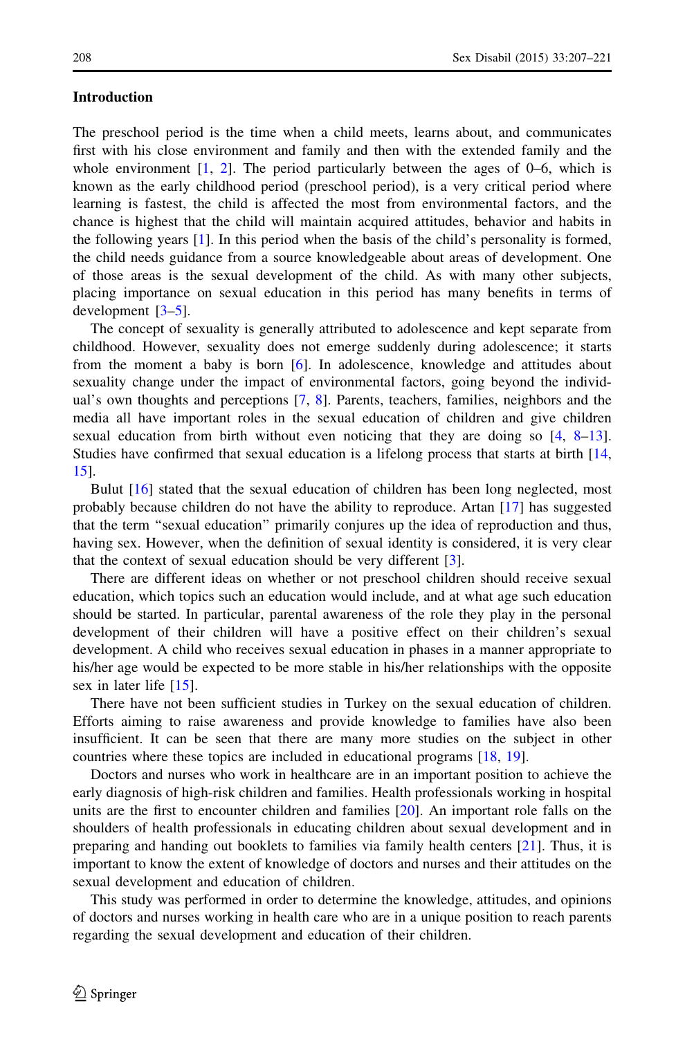#### Introduction

The preschool period is the time when a child meets, learns about, and communicates first with his close environment and family and then with the extended family and the whole environment  $[1, 2]$  $[1, 2]$  $[1, 2]$  $[1, 2]$  $[1, 2]$ . The period particularly between the ages of 0–6, which is known as the early childhood period (preschool period), is a very critical period where learning is fastest, the child is affected the most from environmental factors, and the chance is highest that the child will maintain acquired attitudes, behavior and habits in the following years [\[1\]](#page-13-0). In this period when the basis of the child's personality is formed, the child needs guidance from a source knowledgeable about areas of development. One of those areas is the sexual development of the child. As with many other subjects, placing importance on sexual education in this period has many benefits in terms of development [[3–5\]](#page-13-0).

The concept of sexuality is generally attributed to adolescence and kept separate from childhood. However, sexuality does not emerge suddenly during adolescence; it starts from the moment a baby is born [[6\]](#page-13-0). In adolescence, knowledge and attitudes about sexuality change under the impact of environmental factors, going beyond the individual's own thoughts and perceptions [[7,](#page-13-0) [8](#page-13-0)]. Parents, teachers, families, neighbors and the media all have important roles in the sexual education of children and give children sexual education from birth without even noticing that they are doing so [\[4,](#page-13-0) [8–13](#page-13-0)]. Studies have confirmed that sexual education is a lifelong process that starts at birth [[14](#page-13-0), [15](#page-13-0)].

Bulut [[16](#page-13-0)] stated that the sexual education of children has been long neglected, most probably because children do not have the ability to reproduce. Artan [[17](#page-13-0)] has suggested that the term ''sexual education'' primarily conjures up the idea of reproduction and thus, having sex. However, when the definition of sexual identity is considered, it is very clear that the context of sexual education should be very different [\[3\]](#page-13-0).

There are different ideas on whether or not preschool children should receive sexual education, which topics such an education would include, and at what age such education should be started. In particular, parental awareness of the role they play in the personal development of their children will have a positive effect on their children's sexual development. A child who receives sexual education in phases in a manner appropriate to his/her age would be expected to be more stable in his/her relationships with the opposite sex in later life [\[15\]](#page-13-0).

There have not been sufficient studies in Turkey on the sexual education of children. Efforts aiming to raise awareness and provide knowledge to families have also been insufficient. It can be seen that there are many more studies on the subject in other countries where these topics are included in educational programs [[18](#page-13-0), [19](#page-14-0)].

Doctors and nurses who work in healthcare are in an important position to achieve the early diagnosis of high-risk children and families. Health professionals working in hospital units are the first to encounter children and families [[20](#page-14-0)]. An important role falls on the shoulders of health professionals in educating children about sexual development and in preparing and handing out booklets to families via family health centers [[21](#page-14-0)]. Thus, it is important to know the extent of knowledge of doctors and nurses and their attitudes on the sexual development and education of children.

This study was performed in order to determine the knowledge, attitudes, and opinions of doctors and nurses working in health care who are in a unique position to reach parents regarding the sexual development and education of their children.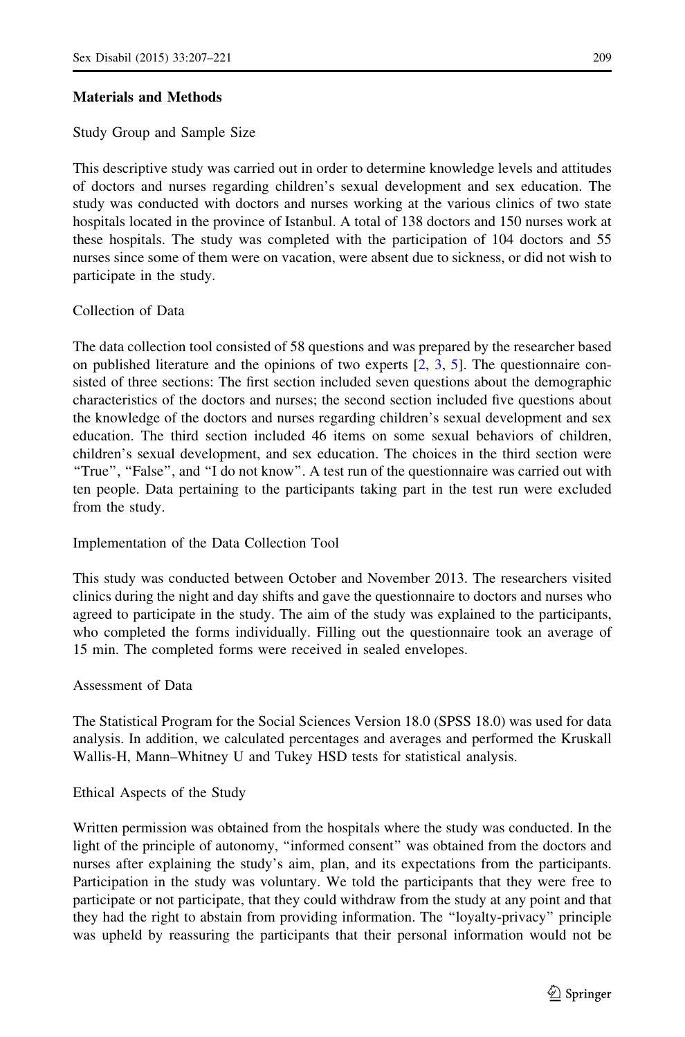## Materials and Methods

Study Group and Sample Size

This descriptive study was carried out in order to determine knowledge levels and attitudes of doctors and nurses regarding children's sexual development and sex education. The study was conducted with doctors and nurses working at the various clinics of two state hospitals located in the province of Istanbul. A total of 138 doctors and 150 nurses work at these hospitals. The study was completed with the participation of 104 doctors and 55 nurses since some of them were on vacation, were absent due to sickness, or did not wish to participate in the study.

# Collection of Data

The data collection tool consisted of 58 questions and was prepared by the researcher based on published literature and the opinions of two experts  $[2, 3, 5]$  $[2, 3, 5]$  $[2, 3, 5]$  $[2, 3, 5]$  $[2, 3, 5]$  $[2, 3, 5]$ . The questionnaire consisted of three sections: The first section included seven questions about the demographic characteristics of the doctors and nurses; the second section included five questions about the knowledge of the doctors and nurses regarding children's sexual development and sex education. The third section included 46 items on some sexual behaviors of children, children's sexual development, and sex education. The choices in the third section were ''True'', ''False'', and ''I do not know''. A test run of the questionnaire was carried out with ten people. Data pertaining to the participants taking part in the test run were excluded from the study.

# Implementation of the Data Collection Tool

This study was conducted between October and November 2013. The researchers visited clinics during the night and day shifts and gave the questionnaire to doctors and nurses who agreed to participate in the study. The aim of the study was explained to the participants, who completed the forms individually. Filling out the questionnaire took an average of 15 min. The completed forms were received in sealed envelopes.

## Assessment of Data

The Statistical Program for the Social Sciences Version 18.0 (SPSS 18.0) was used for data analysis. In addition, we calculated percentages and averages and performed the Kruskall Wallis-H, Mann–Whitney U and Tukey HSD tests for statistical analysis.

# Ethical Aspects of the Study

Written permission was obtained from the hospitals where the study was conducted. In the light of the principle of autonomy, ''informed consent'' was obtained from the doctors and nurses after explaining the study's aim, plan, and its expectations from the participants. Participation in the study was voluntary. We told the participants that they were free to participate or not participate, that they could withdraw from the study at any point and that they had the right to abstain from providing information. The ''loyalty-privacy'' principle was upheld by reassuring the participants that their personal information would not be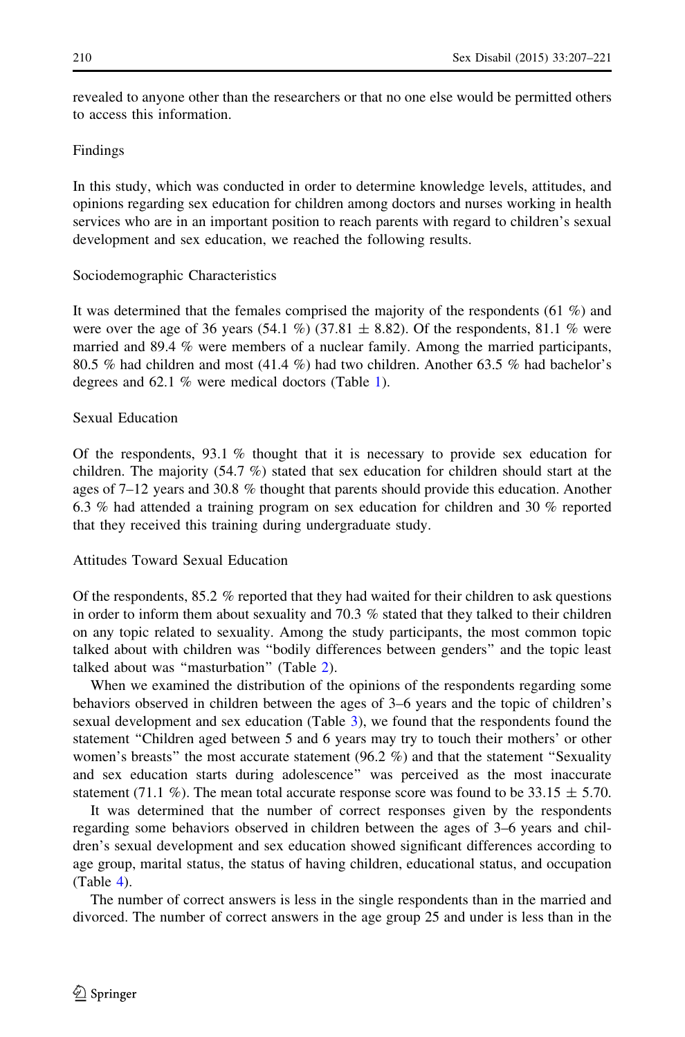revealed to anyone other than the researchers or that no one else would be permitted others to access this information.

## Findings

In this study, which was conducted in order to determine knowledge levels, attitudes, and opinions regarding sex education for children among doctors and nurses working in health services who are in an important position to reach parents with regard to children's sexual development and sex education, we reached the following results.

#### Sociodemographic Characteristics

It was determined that the females comprised the majority of the respondents (61 %) and were over the age of 36 years (54.1 %) (37.81  $\pm$  8.82). Of the respondents, 81.1 % were married and 89.4 % were members of a nuclear family. Among the married participants, 80.5 % had children and most (41.4 %) had two children. Another 63.5 % had bachelor's degrees and 62.1 % were medical doctors (Table [1](#page-4-0)).

#### Sexual Education

Of the respondents,  $93.1\%$  thought that it is necessary to provide sex education for children. The majority  $(54.7 \%)$  stated that sex education for children should start at the ages of 7–12 years and 30.8 % thought that parents should provide this education. Another 6.3 % had attended a training program on sex education for children and 30 % reported that they received this training during undergraduate study.

# Attitudes Toward Sexual Education

Of the respondents,  $85.2\%$  reported that they had waited for their children to ask questions in order to inform them about sexuality and 70.3 % stated that they talked to their children on any topic related to sexuality. Among the study participants, the most common topic talked about with children was ''bodily differences between genders'' and the topic least talked about was "masturbation" (Table [2](#page-5-0)).

When we examined the distribution of the opinions of the respondents regarding some behaviors observed in children between the ages of 3–6 years and the topic of children's sexual development and sex education (Table [3\)](#page-6-0), we found that the respondents found the statement ''Children aged between 5 and 6 years may try to touch their mothers' or other women's breasts" the most accurate statement (96.2 %) and that the statement "Sexuality and sex education starts during adolescence'' was perceived as the most inaccurate statement (71.1 %). The mean total accurate response score was found to be 33.15  $\pm$  5.70.

It was determined that the number of correct responses given by the respondents regarding some behaviors observed in children between the ages of 3–6 years and children's sexual development and sex education showed significant differences according to age group, marital status, the status of having children, educational status, and occupation (Table [4](#page-10-0)).

The number of correct answers is less in the single respondents than in the married and divorced. The number of correct answers in the age group 25 and under is less than in the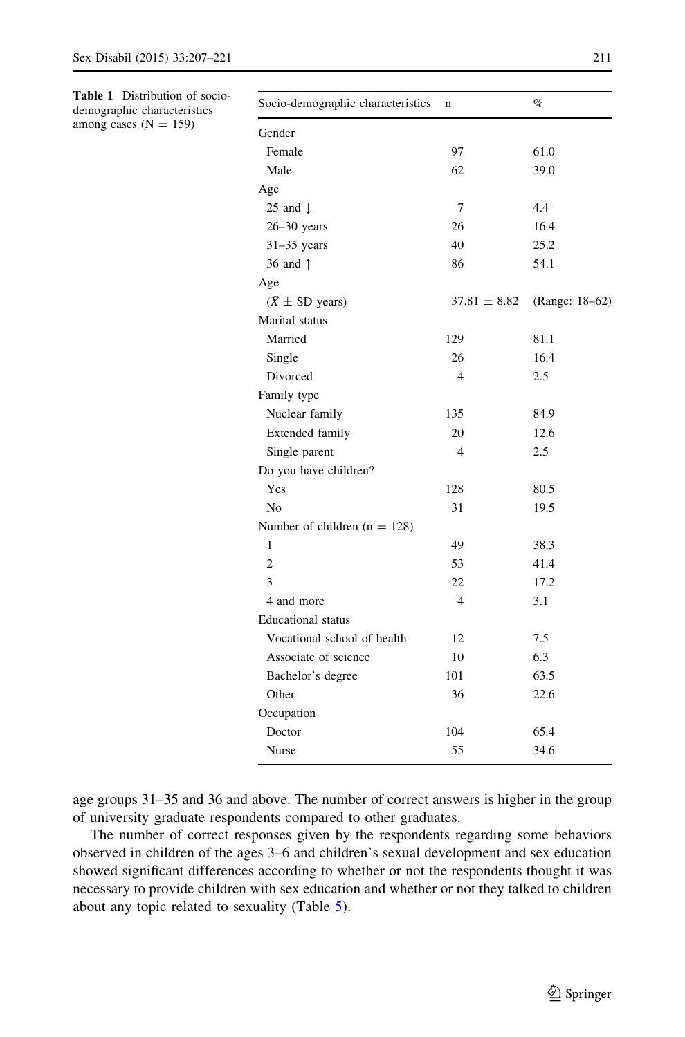<span id="page-4-0"></span>Table 1 Distribution of sociodemographic characteristics

among cases  $(N = 159)$ 

| Socio-demographic characteristics | n                | %              |
|-----------------------------------|------------------|----------------|
| Gender                            |                  |                |
| Female                            | 97               | 61.0           |
| Male                              | 62               | 39.0           |
| Age                               |                  |                |
| 25 and $\downarrow$               | 7                | 4.4            |
| $26 - 30$ years                   | 26               | 16.4           |
| $31-35$ years                     | 40               | 25.2           |
| 36 and 1                          | 86               | 54.1           |
| Age                               |                  |                |
| $(\bar{X} \pm SD \text{ years})$  | $37.81 \pm 8.82$ | (Range: 18–62) |
| Marital status                    |                  |                |
| Married                           | 129              | 81.1           |
| Single                            | 26               | 16.4           |
| Divorced                          | 4                | 2.5            |
| Family type                       |                  |                |
| Nuclear family                    | 135              | 84.9           |
| Extended family                   | 20               | 12.6           |
| Single parent                     | $\overline{4}$   | 2.5            |
| Do you have children?             |                  |                |
| Yes                               | 128              | 80.5           |
| N <sub>0</sub>                    | 31               | 19.5           |
| Number of children $(n = 128)$    |                  |                |
| $\mathbf{1}$                      | 49               | 38.3           |
| $\overline{c}$                    | 53               | 41.4           |
| 3                                 | 22               | 17.2           |
| 4 and more                        | $\overline{4}$   | 3.1            |
| <b>Educational</b> status         |                  |                |
| Vocational school of health       | 12               | 7.5            |
| Associate of science              | 10               | 6.3            |
| Bachelor's degree                 | 101              | 63.5           |
| Other                             | 36               | 22.6           |
| Occupation                        |                  |                |
| Doctor                            | 104              | 65.4           |
| Nurse                             | 55               | 34.6           |

age groups 31–35 and 36 and above. The number of correct answers is higher in the group of university graduate respondents compared to other graduates.

The number of correct responses given by the respondents regarding some behaviors observed in children of the ages 3–6 and children's sexual development and sex education showed significant differences according to whether or not the respondents thought it was necessary to provide children with sex education and whether or not they talked to children about any topic related to sexuality (Table [5\)](#page-11-0).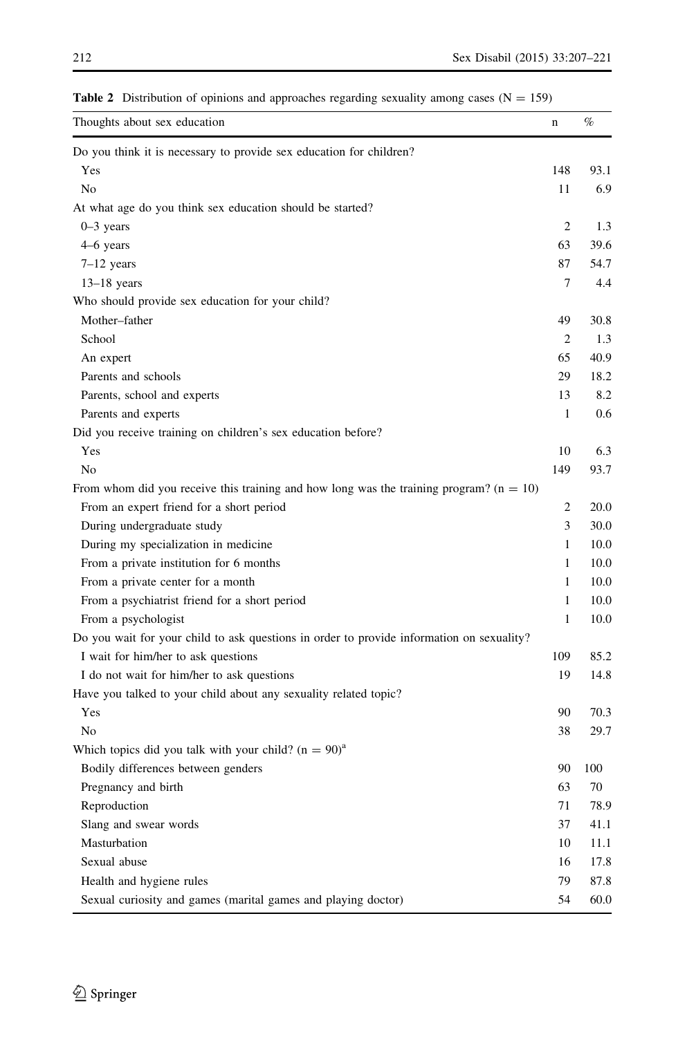| Thoughts about sex education                                                              | n              | $\%$ |
|-------------------------------------------------------------------------------------------|----------------|------|
| Do you think it is necessary to provide sex education for children?                       |                |      |
| Yes                                                                                       | 148            | 93.1 |
| No                                                                                        | 11             | 6.9  |
| At what age do you think sex education should be started?                                 |                |      |
| $0-3$ years                                                                               | $\overline{2}$ | 1.3  |
| 4–6 years                                                                                 | 63             | 39.6 |
| $7-12$ years                                                                              | 87             | 54.7 |
| $13-18$ years                                                                             | $\tau$         | 4.4  |
| Who should provide sex education for your child?                                          |                |      |
| Mother-father                                                                             | 49             | 30.8 |
| School                                                                                    | 2              | 1.3  |
| An expert                                                                                 | 65             | 40.9 |
| Parents and schools                                                                       | 29             | 18.2 |
| Parents, school and experts                                                               | 13             | 8.2  |
| Parents and experts                                                                       | $\mathbf{1}$   | 0.6  |
| Did you receive training on children's sex education before?                              |                |      |
| Yes                                                                                       | 10             | 6.3  |
| No                                                                                        | 149            | 93.7 |
| From whom did you receive this training and how long was the training program? $(n = 10)$ |                |      |
| From an expert friend for a short period                                                  | 2              | 20.0 |
| During undergraduate study                                                                | 3              | 30.0 |
| During my specialization in medicine                                                      | $\mathbf{1}$   | 10.0 |
| From a private institution for 6 months                                                   | 1              | 10.0 |
| From a private center for a month                                                         | $\mathbf{1}$   | 10.0 |
| From a psychiatrist friend for a short period                                             | 1              | 10.0 |
| From a psychologist                                                                       | $\mathbf{1}$   | 10.0 |
| Do you wait for your child to ask questions in order to provide information on sexuality? |                |      |
| I wait for him/her to ask questions                                                       | 109            | 85.2 |
| I do not wait for him/her to ask questions                                                | 19             | 14.8 |
| Have you talked to your child about any sexuality related topic?                          |                |      |
| Yes                                                                                       | 90             | 70.3 |
| No                                                                                        | 38             | 29.7 |
| Which topics did you talk with your child? $(n = 90)^{a}$                                 |                |      |
| Bodily differences between genders                                                        | 90             | 100  |
| Pregnancy and birth                                                                       | 63             | 70   |
| Reproduction                                                                              | 71             | 78.9 |
| Slang and swear words                                                                     | 37             | 41.1 |
| Masturbation                                                                              | 10             | 11.1 |
| Sexual abuse                                                                              | 16             | 17.8 |
| Health and hygiene rules                                                                  | 79             | 87.8 |
| Sexual curiosity and games (marital games and playing doctor)                             | 54             | 60.0 |

<span id="page-5-0"></span>**Table 2** Distribution of opinions and approaches regarding sexuality among cases ( $N = 159$ )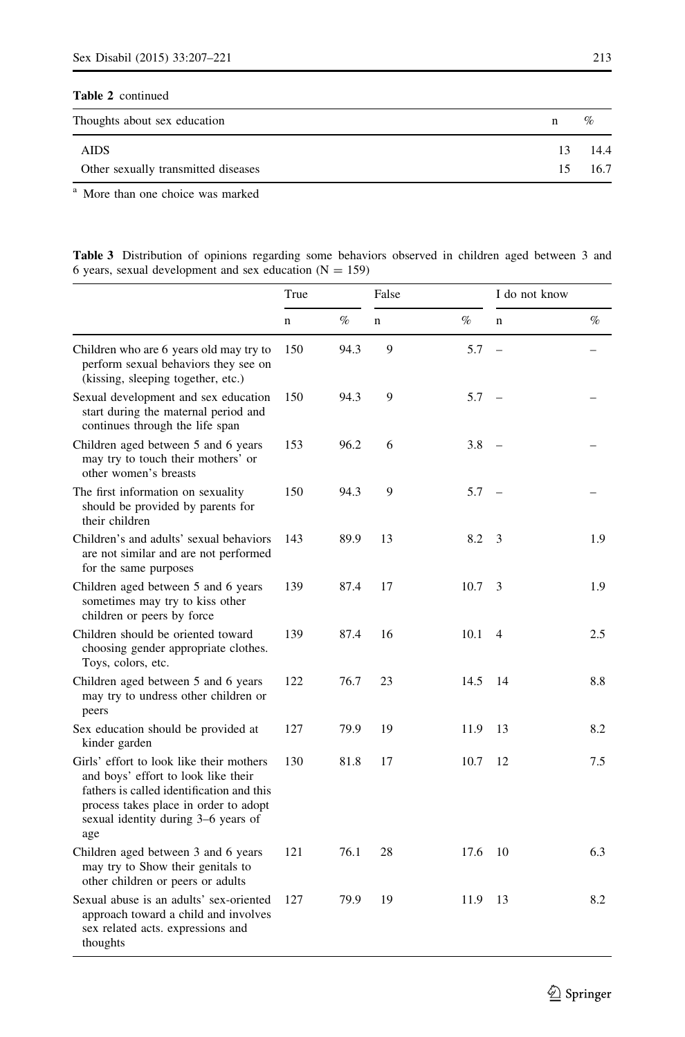# <span id="page-6-0"></span>Table 2 continued

| Thoughts about sex education        |    | $\%$ |
|-------------------------------------|----|------|
| <b>AIDS</b>                         | 13 | 14.4 |
| Other sexually transmitted diseases | 15 | 16.7 |

<sup>a</sup> More than one choice was marked

| <b>Table 3</b> Distribution of opinions regarding some behaviors observed in children aged between 3 and |  |  |  |  |  |  |
|----------------------------------------------------------------------------------------------------------|--|--|--|--|--|--|
| 6 years, sexual development and sex education $(N = 159)$                                                |  |  |  |  |  |  |

|                                                                                                                                                                                                                     | True        |      | False |      | I do not know            |      |
|---------------------------------------------------------------------------------------------------------------------------------------------------------------------------------------------------------------------|-------------|------|-------|------|--------------------------|------|
|                                                                                                                                                                                                                     | $\mathbf n$ | $\%$ | n     | $\%$ | $\mathbf n$              | $\%$ |
| Children who are 6 years old may try to<br>perform sexual behaviors they see on<br>(kissing, sleeping together, etc.)                                                                                               | 150         | 94.3 | 9     | 5.7  | $\overline{\phantom{0}}$ |      |
| Sexual development and sex education<br>start during the maternal period and<br>continues through the life span                                                                                                     | 150         | 94.3 | 9     | 5.7  | $\overline{\phantom{0}}$ |      |
| Children aged between 5 and 6 years<br>may try to touch their mothers' or<br>other women's breasts                                                                                                                  | 153         | 96.2 | 6     | 3.8  |                          |      |
| The first information on sexuality<br>should be provided by parents for<br>their children                                                                                                                           | 150         | 94.3 | 9     | 5.7  |                          |      |
| Children's and adults' sexual behaviors<br>are not similar and are not performed<br>for the same purposes                                                                                                           | 143         | 89.9 | 13    | 8.2  | 3                        | 1.9  |
| Children aged between 5 and 6 years<br>sometimes may try to kiss other<br>children or peers by force                                                                                                                | 139         | 87.4 | 17    | 10.7 | 3                        | 1.9  |
| Children should be oriented toward<br>choosing gender appropriate clothes.<br>Toys, colors, etc.                                                                                                                    | 139         | 87.4 | 16    | 10.1 | $\overline{4}$           | 2.5  |
| Children aged between 5 and 6 years<br>may try to undress other children or<br>peers                                                                                                                                | 122         | 76.7 | 23    | 14.5 | 14                       | 8.8  |
| Sex education should be provided at<br>kinder garden                                                                                                                                                                | 127         | 79.9 | 19    | 11.9 | 13                       | 8.2  |
| Girls' effort to look like their mothers<br>and boys' effort to look like their<br>fathers is called identification and this<br>process takes place in order to adopt<br>sexual identity during 3–6 years of<br>age | 130         | 81.8 | 17    | 10.7 | 12                       | 7.5  |
| Children aged between 3 and 6 years<br>may try to Show their genitals to<br>other children or peers or adults                                                                                                       | 121         | 76.1 | 28    | 17.6 | 10                       | 6.3  |
| Sexual abuse is an adults' sex-oriented<br>approach toward a child and involves<br>sex related acts. expressions and<br>thoughts                                                                                    | 127         | 79.9 | 19    | 11.9 | 13                       | 8.2  |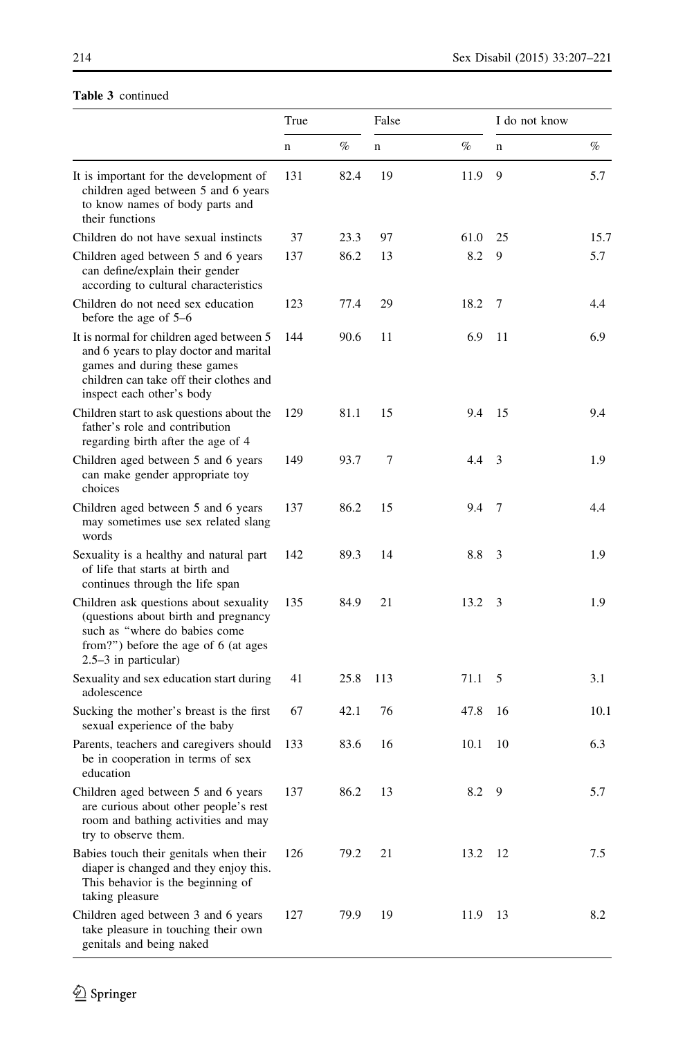# Table 3 continued

|                                                                                                                                                                                            | True        |      | False       |      | I do not know |      |
|--------------------------------------------------------------------------------------------------------------------------------------------------------------------------------------------|-------------|------|-------------|------|---------------|------|
|                                                                                                                                                                                            | $\mathbf n$ | $\%$ | $\mathbf n$ | $\%$ | n             | %    |
| It is important for the development of<br>children aged between 5 and 6 years<br>to know names of body parts and<br>their functions                                                        | 131         | 82.4 | 19          | 11.9 | 9             | 5.7  |
| Children do not have sexual instincts                                                                                                                                                      | 37          | 23.3 | 97          | 61.0 | 25            | 15.7 |
| Children aged between 5 and 6 years<br>can define/explain their gender<br>according to cultural characteristics                                                                            | 137         | 86.2 | 13          | 8.2  | 9             | 5.7  |
| Children do not need sex education<br>before the age of 5–6                                                                                                                                | 123         | 77.4 | 29          | 18.2 | 7             | 4.4  |
| It is normal for children aged between 5<br>and 6 years to play doctor and marital<br>games and during these games<br>children can take off their clothes and<br>inspect each other's body | 144         | 90.6 | 11          | 6.9  | 11            | 6.9  |
| Children start to ask questions about the<br>father's role and contribution<br>regarding birth after the age of 4                                                                          | 129         | 81.1 | 15          | 9.4  | 15            | 9.4  |
| Children aged between 5 and 6 years<br>can make gender appropriate toy<br>choices                                                                                                          | 149         | 93.7 | 7           | 4.4  | 3             | 1.9  |
| Children aged between 5 and 6 years<br>may sometimes use sex related slang<br>words                                                                                                        | 137         | 86.2 | 15          | 9.4  | 7             | 4.4  |
| Sexuality is a healthy and natural part<br>of life that starts at birth and<br>continues through the life span                                                                             | 142         | 89.3 | 14          | 8.8  | 3             | 1.9  |
| Children ask questions about sexuality<br>(questions about birth and pregnancy<br>such as "where do babies come<br>from?") before the age of 6 (at ages<br>2.5–3 in particular)            | 135         | 84.9 | 21          | 13.2 | 3             | 1.9  |
| Sexuality and sex education start during<br>adolescence                                                                                                                                    | 41          | 25.8 | 113         | 71.1 | 5             | 3.1  |
| Sucking the mother's breast is the first<br>sexual experience of the baby                                                                                                                  | 67          | 42.1 | 76          | 47.8 | 16            | 10.1 |
| Parents, teachers and caregivers should<br>be in cooperation in terms of sex<br>education                                                                                                  | 133         | 83.6 | 16          | 10.1 | 10            | 6.3  |
| Children aged between 5 and 6 years<br>are curious about other people's rest<br>room and bathing activities and may<br>try to observe them.                                                | 137         | 86.2 | 13          | 8.2  | 9             | 5.7  |
| Babies touch their genitals when their<br>diaper is changed and they enjoy this.<br>This behavior is the beginning of<br>taking pleasure                                                   | 126         | 79.2 | 21          | 13.2 | 12            | 7.5  |
| Children aged between 3 and 6 years<br>take pleasure in touching their own<br>genitals and being naked                                                                                     | 127         | 79.9 | 19          | 11.9 | 13            | 8.2  |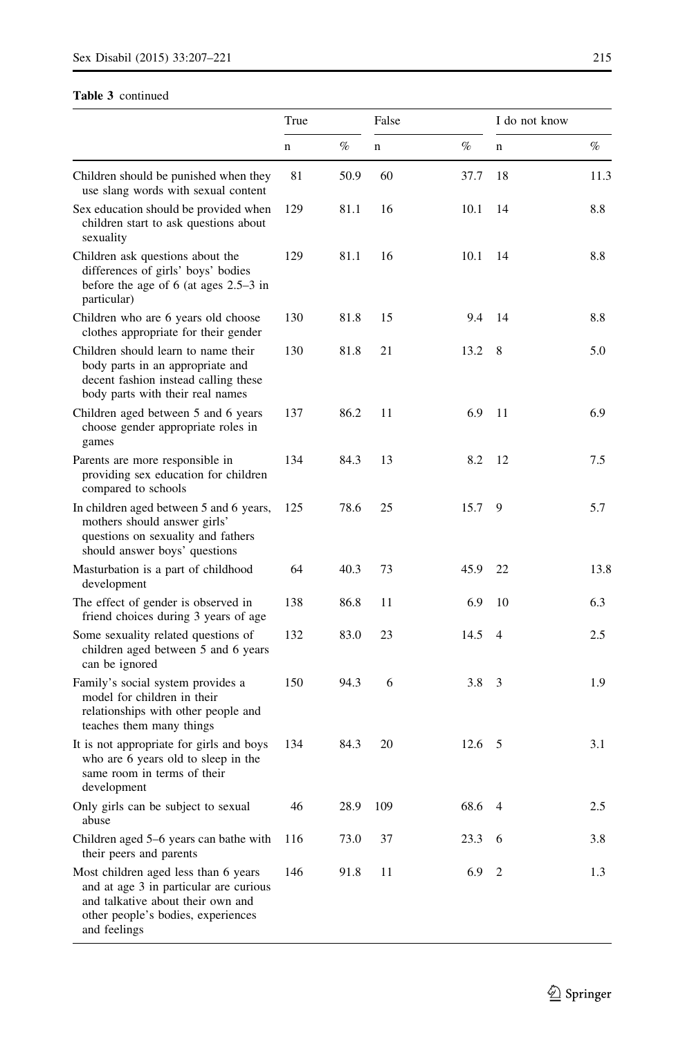## Table 3 continued

|                                                                                                                                                                           | True |      | False |        | I do not know  |      |  |
|---------------------------------------------------------------------------------------------------------------------------------------------------------------------------|------|------|-------|--------|----------------|------|--|
|                                                                                                                                                                           | n    | %    | n     | %      | n              | %    |  |
| Children should be punished when they<br>use slang words with sexual content                                                                                              | 81   | 50.9 | 60    | 37.7   | 18             | 11.3 |  |
| Sex education should be provided when<br>children start to ask questions about<br>sexuality                                                                               | 129  | 81.1 | 16    | 10.1   | 14             | 8.8  |  |
| Children ask questions about the<br>differences of girls' boys' bodies<br>before the age of 6 (at ages $2.5-3$ in<br>particular)                                          | 129  | 81.1 | 16    | 10.1   | 14             | 8.8  |  |
| Children who are 6 years old choose<br>clothes appropriate for their gender                                                                                               | 130  | 81.8 | 15    | 9.4    | 14             | 8.8  |  |
| Children should learn to name their<br>body parts in an appropriate and<br>decent fashion instead calling these<br>body parts with their real names                       | 130  | 81.8 | 21    | 13.2   | 8              | 5.0  |  |
| Children aged between 5 and 6 years<br>choose gender appropriate roles in<br>games                                                                                        | 137  | 86.2 | 11    | 6.9    | 11             | 6.9  |  |
| Parents are more responsible in<br>providing sex education for children<br>compared to schools                                                                            | 134  | 84.3 | 13    | 8.2    | 12             | 7.5  |  |
| In children aged between 5 and 6 years,<br>mothers should answer girls'<br>questions on sexuality and fathers<br>should answer boys' questions                            | 125  | 78.6 | 25    | 15.7   | 9              | 5.7  |  |
| Masturbation is a part of childhood<br>development                                                                                                                        | 64   | 40.3 | 73    | 45.9   | 22             | 13.8 |  |
| The effect of gender is observed in<br>friend choices during 3 years of age                                                                                               | 138  | 86.8 | 11    | 6.9    | 10             | 6.3  |  |
| Some sexuality related questions of<br>children aged between 5 and 6 years<br>can be ignored                                                                              | 132  | 83.0 | 23    | 14.5   | $\overline{4}$ | 2.5  |  |
| Family's social system provides a<br>model for children in their<br>relationships with other people and<br>teaches them many things                                       | 150  | 94.3 | 6     | 3.8    | 3              | 1.9  |  |
| It is not appropriate for girls and boys<br>who are 6 years old to sleep in the<br>same room in terms of their<br>development                                             | 134  | 84.3 | 20    | 12.6   | 5              | 3.1  |  |
| Only girls can be subject to sexual<br>abuse                                                                                                                              | 46   | 28.9 | 109   | 68.6 4 |                | 2.5  |  |
| Children aged 5–6 years can bathe with<br>their peers and parents                                                                                                         | 116  | 73.0 | 37    | 23.3   | 6              | 3.8  |  |
| Most children aged less than 6 years<br>and at age 3 in particular are curious<br>and talkative about their own and<br>other people's bodies, experiences<br>and feelings | 146  | 91.8 | 11    | 6.9    | 2              | 1.3  |  |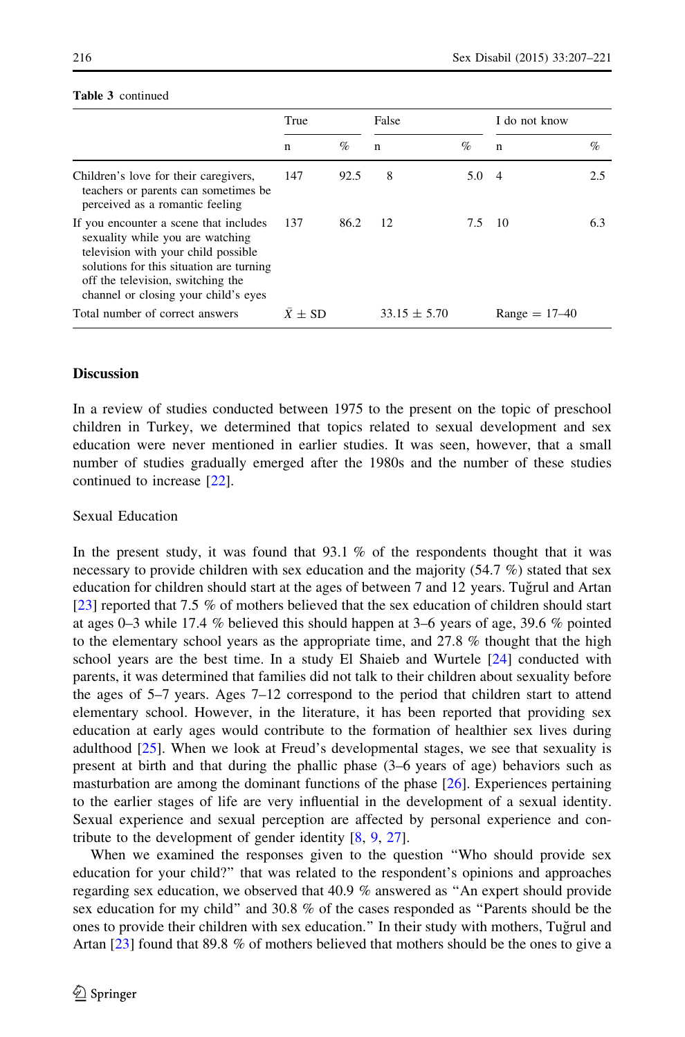|                                                                                                                                                                                                                                            | True           |      | False            |      | I do not know   |      |  |
|--------------------------------------------------------------------------------------------------------------------------------------------------------------------------------------------------------------------------------------------|----------------|------|------------------|------|-----------------|------|--|
|                                                                                                                                                                                                                                            | n              | $\%$ | $\mathbf n$      | $\%$ | $\mathbf n$     | $\%$ |  |
| Children's love for their caregivers,<br>teachers or parents can sometimes be<br>perceived as a romantic feeling                                                                                                                           | 147            | 92.5 | 8                | 5.04 |                 | 2.5  |  |
| If you encounter a scene that includes<br>sexuality while you are watching<br>television with your child possible<br>solutions for this situation are turning<br>off the television, switching the<br>channel or closing your child's eyes | - 137          | 86.2 | 12               | 7.5  | - 10            | 6.3  |  |
| Total number of correct answers                                                                                                                                                                                                            | $\bar{X}$ + SD |      | $33.15 \pm 5.70$ |      | $Range = 17-40$ |      |  |

## Table 3 continued

# Discussion

In a review of studies conducted between 1975 to the present on the topic of preschool children in Turkey, we determined that topics related to sexual development and sex education were never mentioned in earlier studies. It was seen, however, that a small number of studies gradually emerged after the 1980s and the number of these studies continued to increase [\[22\]](#page-14-0).

## Sexual Education

In the present study, it was found that  $93.1\%$  of the respondents thought that it was necessary to provide children with sex education and the majority (54.7 %) stated that sex education for children should start at the ages of between 7 and 12 years. Tugʻrul and Artan [[23](#page-14-0)] reported that 7.5 % of mothers believed that the sex education of children should start at ages 0–3 while 17.4 % believed this should happen at 3–6 years of age, 39.6 % pointed to the elementary school years as the appropriate time, and  $27.8\%$  thought that the high school years are the best time. In a study El Shaieb and Wurtele [\[24\]](#page-14-0) conducted with parents, it was determined that families did not talk to their children about sexuality before the ages of 5–7 years. Ages 7–12 correspond to the period that children start to attend elementary school. However, in the literature, it has been reported that providing sex education at early ages would contribute to the formation of healthier sex lives during adulthood  $[25]$ . When we look at Freud's developmental stages, we see that sexuality is present at birth and that during the phallic phase (3–6 years of age) behaviors such as masturbation are among the dominant functions of the phase [[26](#page-14-0)]. Experiences pertaining to the earlier stages of life are very influential in the development of a sexual identity. Sexual experience and sexual perception are affected by personal experience and contribute to the development of gender identity [[8](#page-13-0), [9,](#page-13-0) [27\]](#page-14-0).

When we examined the responses given to the question ''Who should provide sex education for your child?'' that was related to the respondent's opinions and approaches regarding sex education, we observed that 40.9 % answered as ''An expert should provide sex education for my child'' and 30.8 % of the cases responded as ''Parents should be the ones to provide their children with sex education." In their study with mothers, Tuğrul and Artan [[23](#page-14-0)] found that 89.8 % of mothers believed that mothers should be the ones to give a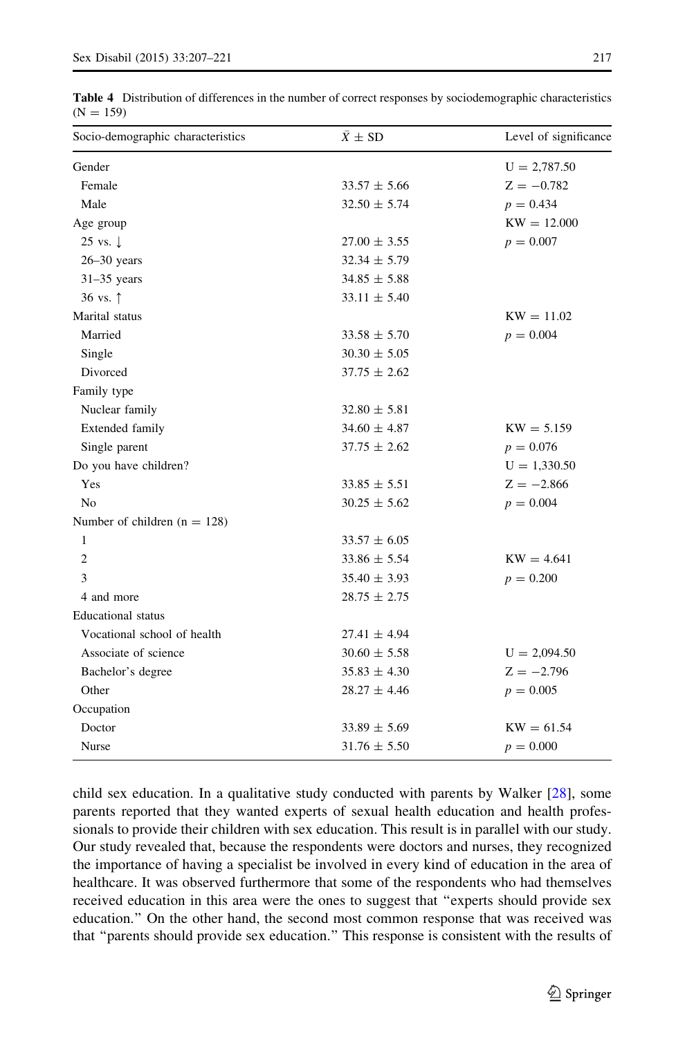| Socio-demographic characteristics | $\bar{X} \pm SD$ | Level of significance |  |  |
|-----------------------------------|------------------|-----------------------|--|--|
| Gender                            |                  | $U = 2,787.50$        |  |  |
| Female                            | $33.57 \pm 5.66$ | $Z = -0.782$          |  |  |
| Male                              | $32.50 \pm 5.74$ | $p = 0.434$           |  |  |
| Age group                         |                  | $KW = 12.000$         |  |  |
| 25 vs. $\downarrow$               | $27.00 \pm 3.55$ | $p = 0.007$           |  |  |
| $26 - 30$ years                   | $32.34 \pm 5.79$ |                       |  |  |
| $31-35$ years                     | $34.85 \pm 5.88$ |                       |  |  |
| 36 vs. $\uparrow$                 | $33.11 \pm 5.40$ |                       |  |  |
| Marital status                    |                  | $KW = 11.02$          |  |  |
| Married                           | $33.58 \pm 5.70$ | $p = 0.004$           |  |  |
| Single                            | $30.30 \pm 5.05$ |                       |  |  |
| Divorced                          | $37.75 \pm 2.62$ |                       |  |  |
| Family type                       |                  |                       |  |  |
| Nuclear family                    | $32.80 \pm 5.81$ |                       |  |  |
| Extended family                   | $34.60 \pm 4.87$ | $KW = 5.159$          |  |  |
| Single parent                     | $37.75 \pm 2.62$ | $p = 0.076$           |  |  |
| Do you have children?             |                  | $U = 1,330.50$        |  |  |
| Yes                               | $33.85 \pm 5.51$ | $Z = -2.866$          |  |  |
| N <sub>0</sub>                    | $30.25 \pm 5.62$ | $p = 0.004$           |  |  |
| Number of children $(n = 128)$    |                  |                       |  |  |
| 1                                 | $33.57 \pm 6.05$ |                       |  |  |
| $\overline{c}$                    | $33.86 \pm 5.54$ | $KW = 4.641$          |  |  |
| 3                                 | $35.40 \pm 3.93$ | $p = 0.200$           |  |  |
| 4 and more                        | $28.75 \pm 2.75$ |                       |  |  |
| <b>Educational</b> status         |                  |                       |  |  |
| Vocational school of health       | $27.41 \pm 4.94$ |                       |  |  |
| Associate of science              | $30.60 \pm 5.58$ | $U = 2,094.50$        |  |  |
| Bachelor's degree                 | $35.83 \pm 4.30$ | $Z = -2.796$          |  |  |
| Other                             | $28.27 \pm 4.46$ | $p = 0.005$           |  |  |
| Occupation                        |                  |                       |  |  |
| Doctor                            | $33.89 \pm 5.69$ | $KW = 61.54$          |  |  |
| Nurse                             | $31.76 \pm 5.50$ | $p = 0.000$           |  |  |

<span id="page-10-0"></span>Table 4 Distribution of differences in the number of correct responses by sociodemographic characteristics  $(N = 159)$ 

child sex education. In a qualitative study conducted with parents by Walker [\[28\]](#page-14-0), some parents reported that they wanted experts of sexual health education and health professionals to provide their children with sex education. This result is in parallel with our study. Our study revealed that, because the respondents were doctors and nurses, they recognized the importance of having a specialist be involved in every kind of education in the area of healthcare. It was observed furthermore that some of the respondents who had themselves received education in this area were the ones to suggest that ''experts should provide sex education.'' On the other hand, the second most common response that was received was that ''parents should provide sex education.'' This response is consistent with the results of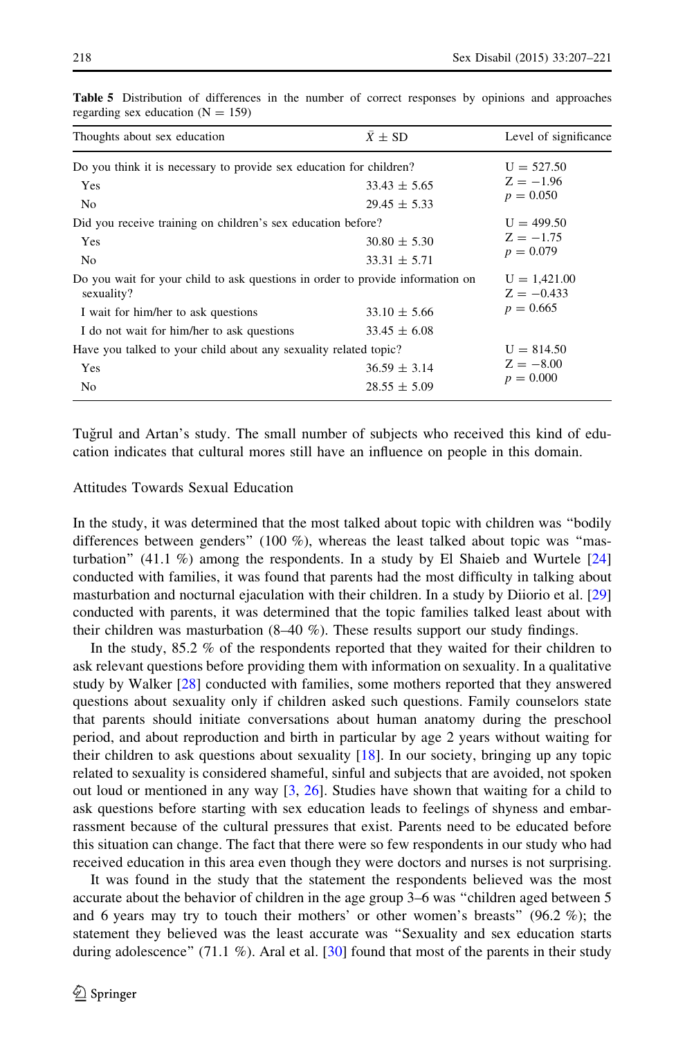| Thoughts about sex education                                                                 | $\bar{X} \pm SD$               | Level of significance |  |  |
|----------------------------------------------------------------------------------------------|--------------------------------|-----------------------|--|--|
| Do you think it is necessary to provide sex education for children?                          |                                | $U = 527.50$          |  |  |
| Yes                                                                                          | $33.43 \pm 5.65$               | $Z = -1.96$           |  |  |
| N <sub>o</sub>                                                                               | $29.45 \pm 5.33$               | $p = 0.050$           |  |  |
| Did you receive training on children's sex education before?                                 |                                | $U = 499.50$          |  |  |
| Yes                                                                                          | $30.80 \pm 5.30$               | $Z = -1.75$           |  |  |
| N <sub>o</sub>                                                                               | $33.31 \pm 5.71$               | $p = 0.079$           |  |  |
| Do you wait for your child to ask questions in order to provide information on<br>sexuality? | $U = 1,421.00$<br>$Z = -0.433$ |                       |  |  |
| I wait for him/her to ask questions                                                          | $33.10 \pm 5.66$               | $p = 0.665$           |  |  |
| I do not wait for him/her to ask questions                                                   | $33.45 \pm 6.08$               |                       |  |  |
| Have you talked to your child about any sexuality related topic?                             | $U = 814.50$                   |                       |  |  |
| Yes                                                                                          | $36.59 \pm 3.14$               | $Z = -8.00$           |  |  |
| No                                                                                           | $28.55 \pm 5.09$               | $p = 0.000$           |  |  |

<span id="page-11-0"></span>Table 5 Distribution of differences in the number of correct responses by opinions and approaches regarding sex education  $(N = 159)$ 

Tuğrul and Artan's study. The small number of subjects who received this kind of education indicates that cultural mores still have an influence on people in this domain.

# Attitudes Towards Sexual Education

In the study, it was determined that the most talked about topic with children was ''bodily differences between genders" (100 %), whereas the least talked about topic was "masturbation"  $(41.1 \%)$  among the respondents. In a study by El Shaieb and Wurtele  $[24]$  $[24]$  $[24]$ conducted with families, it was found that parents had the most difficulty in talking about masturbation and nocturnal ejaculation with their children. In a study by Diiorio et al. [[29](#page-14-0)] conducted with parents, it was determined that the topic families talked least about with their children was masturbation  $(8-40\%)$ . These results support our study findings.

In the study, 85.2 % of the respondents reported that they waited for their children to ask relevant questions before providing them with information on sexuality. In a qualitative study by Walker [[28\]](#page-14-0) conducted with families, some mothers reported that they answered questions about sexuality only if children asked such questions. Family counselors state that parents should initiate conversations about human anatomy during the preschool period, and about reproduction and birth in particular by age 2 years without waiting for their children to ask questions about sexuality [[18](#page-13-0)]. In our society, bringing up any topic related to sexuality is considered shameful, sinful and subjects that are avoided, not spoken out loud or mentioned in any way  $[3, 26]$  $[3, 26]$  $[3, 26]$ . Studies have shown that waiting for a child to ask questions before starting with sex education leads to feelings of shyness and embarrassment because of the cultural pressures that exist. Parents need to be educated before this situation can change. The fact that there were so few respondents in our study who had received education in this area even though they were doctors and nurses is not surprising.

It was found in the study that the statement the respondents believed was the most accurate about the behavior of children in the age group 3–6 was ''children aged between 5 and 6 years may try to touch their mothers' or other women's breasts'' (96.2 %); the statement they believed was the least accurate was ''Sexuality and sex education starts during adolescence" (71.1 %). Aral et al. [\[30\]](#page-14-0) found that most of the parents in their study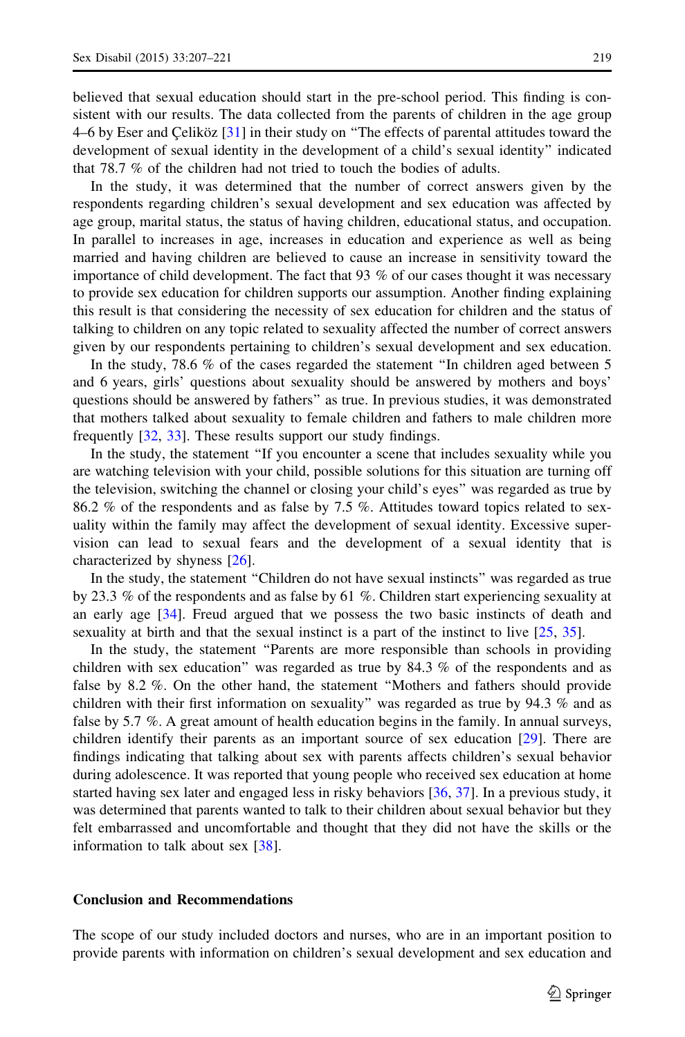believed that sexual education should start in the pre-school period. This finding is consistent with our results. The data collected from the parents of children in the age group 4–6 by Eser and Çeliköz [\[31\]](#page-14-0) in their study on "The effects of parental attitudes toward the development of sexual identity in the development of a child's sexual identity'' indicated that 78.7 % of the children had not tried to touch the bodies of adults.

In the study, it was determined that the number of correct answers given by the respondents regarding children's sexual development and sex education was affected by age group, marital status, the status of having children, educational status, and occupation. In parallel to increases in age, increases in education and experience as well as being married and having children are believed to cause an increase in sensitivity toward the importance of child development. The fact that 93 % of our cases thought it was necessary to provide sex education for children supports our assumption. Another finding explaining this result is that considering the necessity of sex education for children and the status of talking to children on any topic related to sexuality affected the number of correct answers given by our respondents pertaining to children's sexual development and sex education.

In the study, 78.6 % of the cases regarded the statement ''In children aged between 5 and 6 years, girls' questions about sexuality should be answered by mothers and boys' questions should be answered by fathers'' as true. In previous studies, it was demonstrated that mothers talked about sexuality to female children and fathers to male children more frequently [\[32,](#page-14-0) [33\]](#page-14-0). These results support our study findings.

In the study, the statement ''If you encounter a scene that includes sexuality while you are watching television with your child, possible solutions for this situation are turning off the television, switching the channel or closing your child's eyes'' was regarded as true by 86.2 % of the respondents and as false by 7.5 %. Attitudes toward topics related to sexuality within the family may affect the development of sexual identity. Excessive supervision can lead to sexual fears and the development of a sexual identity that is characterized by shyness [[26](#page-14-0)].

In the study, the statement ''Children do not have sexual instincts'' was regarded as true by 23.3 % of the respondents and as false by 61 %. Children start experiencing sexuality at an early age [\[34\]](#page-14-0). Freud argued that we possess the two basic instincts of death and sexuality at birth and that the sexual instinct is a part of the instinct to live [[25](#page-14-0), [35](#page-14-0)].

In the study, the statement ''Parents are more responsible than schools in providing children with sex education'' was regarded as true by 84.3 % of the respondents and as false by 8.2 %. On the other hand, the statement "Mothers and fathers should provide children with their first information on sexuality'' was regarded as true by 94.3 % and as false by 5.7 %. A great amount of health education begins in the family. In annual surveys, children identify their parents as an important source of sex education [[29](#page-14-0)]. There are findings indicating that talking about sex with parents affects children's sexual behavior during adolescence. It was reported that young people who received sex education at home started having sex later and engaged less in risky behaviors [\[36](#page-14-0), [37\]](#page-14-0). In a previous study, it was determined that parents wanted to talk to their children about sexual behavior but they felt embarrassed and uncomfortable and thought that they did not have the skills or the information to talk about sex [[38](#page-14-0)].

#### Conclusion and Recommendations

The scope of our study included doctors and nurses, who are in an important position to provide parents with information on children's sexual development and sex education and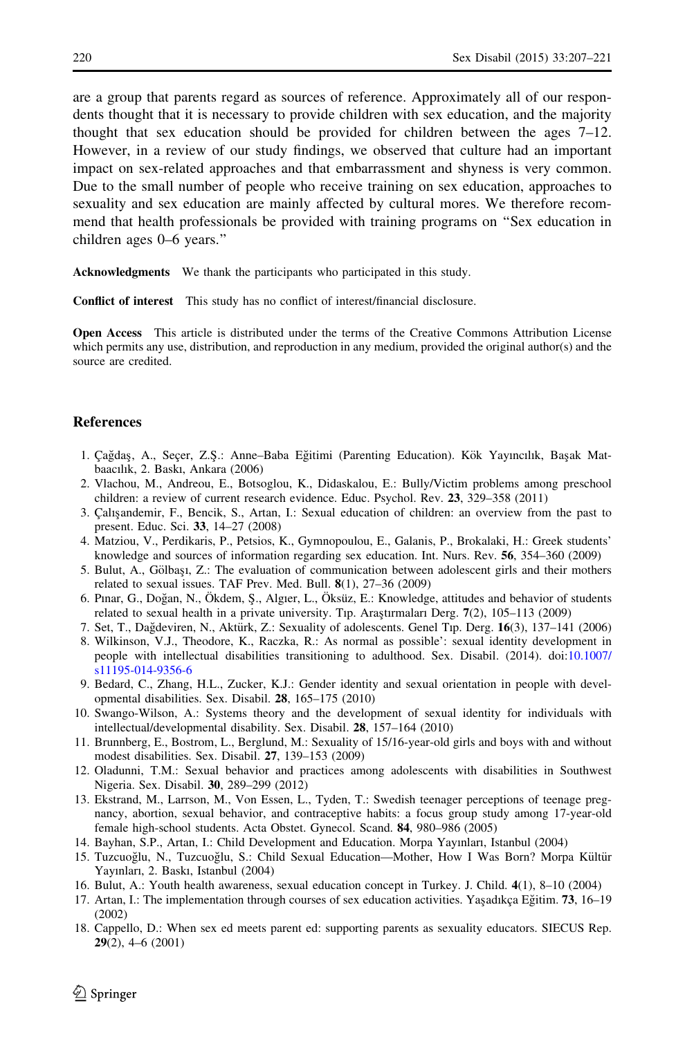<span id="page-13-0"></span>are a group that parents regard as sources of reference. Approximately all of our respondents thought that it is necessary to provide children with sex education, and the majority thought that sex education should be provided for children between the ages 7–12. However, in a review of our study findings, we observed that culture had an important impact on sex-related approaches and that embarrassment and shyness is very common. Due to the small number of people who receive training on sex education, approaches to sexuality and sex education are mainly affected by cultural mores. We therefore recommend that health professionals be provided with training programs on ''Sex education in children ages 0–6 years.''

Acknowledgments We thank the participants who participated in this study.

Conflict of interest This study has no conflict of interest/financial disclosure.

Open Access This article is distributed under the terms of the Creative Commons Attribution License which permits any use, distribution, and reproduction in any medium, provided the original author(s) and the source are credited.

#### **References**

- 1. Çağdaş, A., Seçer, Z.Ş.: Anne–Baba Eğitimi (Parenting Education). Kök Yayıncılık, Başak Matbaacılık, 2. Baskı, Ankara (2006)
- 2. Vlachou, M., Andreou, E., Botsoglou, K., Didaskalou, E.: Bully/Victim problems among preschool children: a review of current research evidence. Educ. Psychol. Rev. 23, 329–358 (2011)
- 3. Çalışandemir, F., Bencik, S., Artan, I.: Sexual education of children: an overview from the past to present. Educ. Sci. 33, 14–27 (2008)
- 4. Matziou, V., Perdikaris, P., Petsios, K., Gymnopoulou, E., Galanis, P., Brokalaki, H.: Greek students' knowledge and sources of information regarding sex education. Int. Nurs. Rev. 56, 354–360 (2009)
- 5. Bulut, A., Gölbaşı, Z.: The evaluation of communication between adolescent girls and their mothers related to sexual issues. TAF Prev. Med. Bull. 8(1), 27–36 (2009)
- 6. Pinar, G., Doğan, N., Ökdem, Ş., Algıer, L., Öksüz, E.: Knowledge, attitudes and behavior of students related to sexual health in a private university. Tip. Araştırmaları Derg.  $7(2)$ ,  $105-113$  (2009)
- 7. Set, T., Dağdeviren, N., Aktürk, Z.: Sexuality of adolescents. Genel Tıp. Derg. 16(3), 137–141 (2006)
- 8. Wilkinson, V.J., Theodore, K., Raczka, R.: As normal as possible': sexual identity development in people with intellectual disabilities transitioning to adulthood. Sex. Disabil. (2014). doi:[10.1007/](http://dx.doi.org/10.1007/s11195-014-9356-6) [s11195-014-9356-6](http://dx.doi.org/10.1007/s11195-014-9356-6)
- 9. Bedard, C., Zhang, H.L., Zucker, K.J.: Gender identity and sexual orientation in people with developmental disabilities. Sex. Disabil. 28, 165–175 (2010)
- 10. Swango-Wilson, A.: Systems theory and the development of sexual identity for individuals with intellectual/developmental disability. Sex. Disabil. 28, 157–164 (2010)
- 11. Brunnberg, E., Bostrom, L., Berglund, M.: Sexuality of 15/16-year-old girls and boys with and without modest disabilities. Sex. Disabil. 27, 139–153 (2009)
- 12. Oladunni, T.M.: Sexual behavior and practices among adolescents with disabilities in Southwest Nigeria. Sex. Disabil. 30, 289–299 (2012)
- 13. Ekstrand, M., Larrson, M., Von Essen, L., Tyden, T.: Swedish teenager perceptions of teenage pregnancy, abortion, sexual behavior, and contraceptive habits: a focus group study among 17-year-old female high-school students. Acta Obstet. Gynecol. Scand. 84, 980–986 (2005)
- 14. Bayhan, S.P., Artan, I.: Child Development and Education. Morpa Yayınları, Istanbul (2004)
- 15. Tuzcuoğlu, N., Tuzcuoğlu, S.: Child Sexual Education—Mother, How I Was Born? Morpa Kültür Yayınları, 2. Baskı, Istanbul (2004)
- 16. Bulut, A.: Youth health awareness, sexual education concept in Turkey. J. Child. 4(1), 8–10 (2004)
- 17. Artan, I.: The implementation through courses of sex education activities. Yaşadıkça Eğitim. 73, 16–19 (2002)
- 18. Cappello, D.: When sex ed meets parent ed: supporting parents as sexuality educators. SIECUS Rep. 29(2), 4–6 (2001)